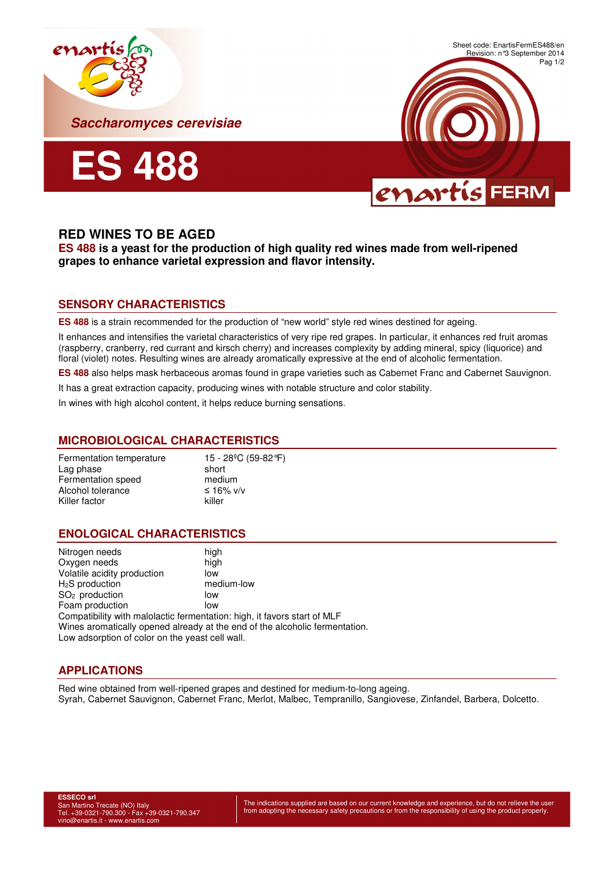





# **RED WINES TO BE AGED**

**ES 488 is a yeast for the production of high quality red wines made from well-ripened grapes to enhance varietal expression and flavor intensity.** 

## **SENSORY CHARACTERISTICS**

**ES 488** is a strain recommended for the production of "new world" style red wines destined for ageing.

It enhances and intensifies the varietal characteristics of very ripe red grapes. In particular, it enhances red fruit aromas (raspberry, cranberry, red currant and kirsch cherry) and increases complexity by adding mineral, spicy (liquorice) and floral (violet) notes. Resulting wines are already aromatically expressive at the end of alcoholic fermentation.

**ES 488** also helps mask herbaceous aromas found in grape varieties such as Cabernet Franc and Cabernet Sauvignon.

It has a great extraction capacity, producing wines with notable structure and color stability.

In wines with high alcohol content, it helps reduce burning sensations.

### **MICROBIOLOGICAL CHARACTERISTICS**

| 15 - 28 <sup>o</sup> C (59-82 °F) |
|-----------------------------------|
| short                             |
| medium                            |
| ≤ 16% v/v                         |
| killer                            |
|                                   |

### **ENOLOGICAL CHARACTERISTICS**

| Nitrogen needs                                                              | high       |
|-----------------------------------------------------------------------------|------------|
| Oxygen needs                                                                | high       |
| Volatile acidity production                                                 | low        |
| $H2S$ production                                                            | medium-low |
| SO <sub>2</sub> production                                                  | low        |
| Foam production                                                             | low        |
| Compatibility with malolactic fermentation: high, it favors start of MLF    |            |
| Wines aromatically opened already at the end of the alcoholic fermentation. |            |
| Low adsorption of color on the yeast cell wall.                             |            |

### **APPLICATIONS**

Red wine obtained from well-ripened grapes and destined for medium-to-long ageing. Syrah, Cabernet Sauvignon, Cabernet Franc, Merlot, Malbec, Tempranillo, Sangiovese, Zinfandel, Barbera, Dolcetto.